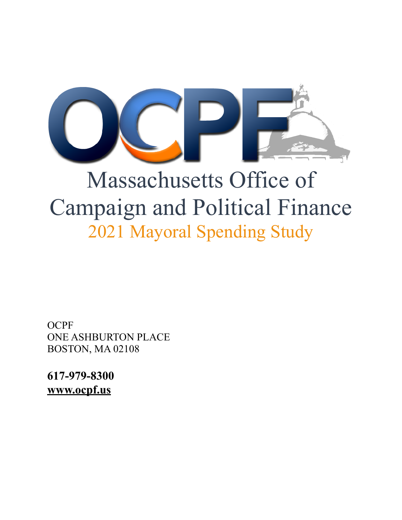

# Massachusetts Office of Campaign and Political Finance 2021 Mayoral Spending Study

**OCPF** ONE ASHBURTON PLACE BOSTON, MA 02108

**617-979-8300 [www.ocpf.us](http://www.ocpf.us)**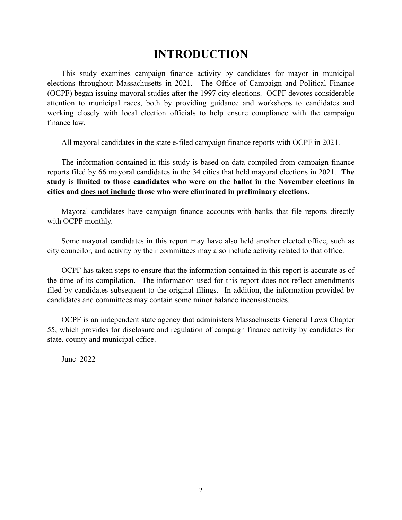## **INTRODUCTION**

This study examines campaign finance activity by candidates for mayor in municipal elections throughout Massachusetts in 2021. The Office of Campaign and Political Finance (OCPF) began issuing mayoral studies after the 1997 city elections. OCPF devotes considerable attention to municipal races, both by providing guidance and workshops to candidates and working closely with local election officials to help ensure compliance with the campaign finance law.

All mayoral candidates in the state e-filed campaign finance reports with OCPF in 2021.

The information contained in this study is based on data compiled from campaign finance reports filed by 66 mayoral candidates in the 34 cities that held mayoral elections in 2021. **The study is limited to those candidates who were on the ballot in the November elections in cities and does not include those who were eliminated in preliminary elections.**

Mayoral candidates have campaign finance accounts with banks that file reports directly with OCPF monthly*.* 

Some mayoral candidates in this report may have also held another elected office, such as city councilor, and activity by their committees may also include activity related to that office.

OCPF has taken steps to ensure that the information contained in this report is accurate as of the time of its compilation. The information used for this report does not reflect amendments filed by candidates subsequent to the original filings. In addition, the information provided by candidates and committees may contain some minor balance inconsistencies.

OCPF is an independent state agency that administers Massachusetts General Laws Chapter 55, which provides for disclosure and regulation of campaign finance activity by candidates for state, county and municipal office.

June 2022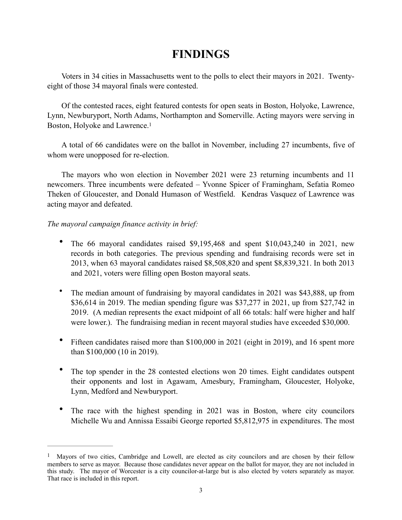## <span id="page-2-1"></span>**FINDINGS**

Voters in 34 cities in Massachusetts went to the polls to elect their mayors in 2021. Twentyeight of those 34 mayoral finals were contested.

Of the contested races, eight featured contests for open seats in Boston, Holyoke, Lawrence, Lynn, Newburyport, North Adams, Northampton and Somerville. Acting mayors were serving in Boston, Holyoke and Lawrence.[1](#page-2-0)

A total of 66 candidates were on the ballot in November, including 27 incumbents, five of whom were unopposed for re-election.

The mayors who won election in November 2021 were 23 returning incumbents and 11 newcomers. Three incumbents were defeated – Yvonne Spicer of Framingham, Sefatia Romeo Theken of Gloucester, and Donald Humason of Westfield. Kendras Vasquez of Lawrence was acting mayor and defeated.

#### *The mayoral campaign finance activity in brief:*

- The 66 mayoral candidates raised \$9,195,468 and spent \$10,043,240 in 2021, new records in both categories. The previous spending and fundraising records were set in 2013, when 63 mayoral candidates raised \$8,508,820 and spent \$8,839,321. In both 2013 and 2021, voters were filling open Boston mayoral seats.
- The median amount of fundraising by mayoral candidates in 2021 was \$43,888, up from \$36,614 in 2019. The median spending figure was \$37,277 in 2021, up from \$27,742 in 2019. (A median represents the exact midpoint of all 66 totals: half were higher and half were lower.). The fundraising median in recent mayoral studies have exceeded \$30,000.
- Fifteen candidates raised more than \$100,000 in 2021 (eight in 2019), and 16 spent more than \$100,000 (10 in 2019).
- The top spender in the 28 contested elections won 20 times. Eight candidates outspent their opponents and lost in Agawam, Amesbury, Framingham, Gloucester, Holyoke, Lynn, Medford and Newburyport.
- The race with the highest spending in 2021 was in Boston, where city councilors Michelle Wu and Annissa Essaibi George reported \$5,812,975 in expenditures. The most

<span id="page-2-0"></span> $<sup>1</sup>$  $<sup>1</sup>$  $<sup>1</sup>$  Mayors of two cities, Cambridge and Lowell, are elected as city councilors and are chosen by their fellow</sup> members to serve as mayor. Because those candidates never appear on the ballot for mayor, they are not included in this study. The mayor of Worcester is a city councilor-at-large but is also elected by voters separately as mayor. That race is included in this report.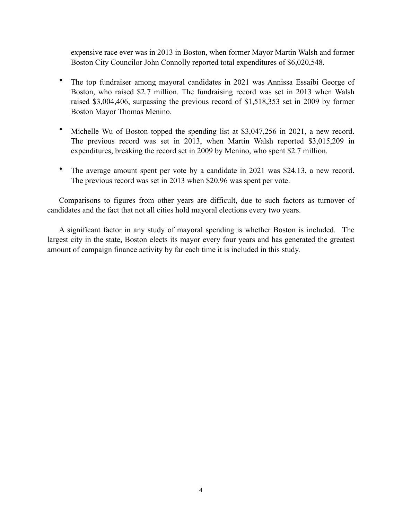expensive race ever was in 2013 in Boston, when former Mayor Martin Walsh and former Boston City Councilor John Connolly reported total expenditures of \$6,020,548.

- The top fundraiser among mayoral candidates in 2021 was Annissa Essaibi George of Boston, who raised \$2.7 million. The fundraising record was set in 2013 when Walsh raised \$3,004,406, surpassing the previous record of \$1,518,353 set in 2009 by former Boston Mayor Thomas Menino.
- Michelle Wu of Boston topped the spending list at \$3,047,256 in 2021, a new record. The previous record was set in 2013, when Martin Walsh reported \$3,015,209 in expenditures, breaking the record set in 2009 by Menino, who spent \$2.7 million.
- The average amount spent per vote by a candidate in 2021 was \$24.13, a new record. The previous record was set in 2013 when \$20.96 was spent per vote.

Comparisons to figures from other years are difficult, due to such factors as turnover of candidates and the fact that not all cities hold mayoral elections every two years.

A significant factor in any study of mayoral spending is whether Boston is included. The largest city in the state, Boston elects its mayor every four years and has generated the greatest amount of campaign finance activity by far each time it is included in this study.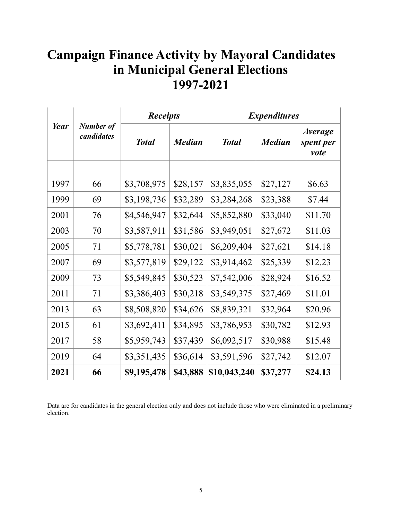## **Campaign Finance Activity by Mayoral Candidates in Municipal General Elections 1997-2021**

| Year |                                | <b>Receipts</b> |               | <b>Expenditures</b> |               |                                            |  |
|------|--------------------------------|-----------------|---------------|---------------------|---------------|--------------------------------------------|--|
|      | <b>Number of</b><br>candidates | <b>Total</b>    | <b>Median</b> | <b>Total</b>        | <b>Median</b> | <i><b>Average</b></i><br>spent per<br>vote |  |
|      |                                |                 |               |                     |               |                                            |  |
| 1997 | 66                             | \$3,708,975     | \$28,157      | \$3,835,055         | \$27,127      | \$6.63                                     |  |
| 1999 | 69                             | \$3,198,736     | \$32,289      | \$3,284,268         | \$23,388      | \$7.44                                     |  |
| 2001 | 76                             | \$4,546,947     | \$32,644      | \$5,852,880         | \$33,040      | \$11.70                                    |  |
| 2003 | 70                             | \$3,587,911     | \$31,586      | \$3,949,051         | \$27,672      | \$11.03                                    |  |
| 2005 | 71                             | \$5,778,781     | \$30,021      | \$6,209,404         | \$27,621      | \$14.18                                    |  |
| 2007 | 69                             | \$3,577,819     | \$29,122      | \$3,914,462         | \$25,339      | \$12.23                                    |  |
| 2009 | 73                             | \$5,549,845     | \$30,523      | \$7,542,006         | \$28,924      | \$16.52                                    |  |
| 2011 | 71                             | \$3,386,403     | \$30,218      | \$3,549,375         | \$27,469      | \$11.01                                    |  |
| 2013 | 63                             | \$8,508,820     | \$34,626      | \$8,839,321         | \$32,964      | \$20.96                                    |  |
| 2015 | 61                             | \$3,692,411     | \$34,895      | \$3,786,953         | \$30,782      | \$12.93                                    |  |
| 2017 | 58                             | \$5,959,743     | \$37,439      | \$6,092,517         | \$30,988      | \$15.48                                    |  |
| 2019 | 64                             | \$3,351,435     | \$36,614      | \$3,591,596         | \$27,742      | \$12.07                                    |  |
| 2021 | 66                             | \$9,195,478     | \$43,888      | \$10,043,240        | \$37,277      | \$24.13                                    |  |

Data are for candidates in the general election only and does not include those who were eliminated in a preliminary election.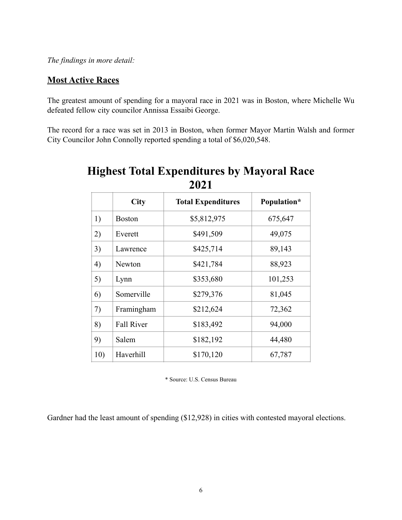*The findings in more detail:*

#### **Most Active Races**

The greatest amount of spending for a mayoral race in 2021 was in Boston, where Michelle Wu defeated fellow city councilor Annissa Essaibi George.

The record for a race was set in 2013 in Boston, when former Mayor Martin Walsh and former City Councilor John Connolly reported spending a total of \$6,020,548.

|     | City              | <b>Total Expenditures</b> | Population* |
|-----|-------------------|---------------------------|-------------|
| 1)  | <b>Boston</b>     | \$5,812,975               | 675,647     |
| 2)  | Everett           | \$491,509                 | 49,075      |
| 3)  | Lawrence          | \$425,714                 | 89,143      |
| 4)  | Newton            | \$421,784                 | 88,923      |
| 5)  | Lynn              | \$353,680                 | 101,253     |
| 6)  | Somerville        | \$279,376                 | 81,045      |
| 7)  | Framingham        | \$212,624                 | 72,362      |
| 8)  | <b>Fall River</b> | \$183,492                 | 94,000      |
| 9)  | Salem             | \$182,192                 | 44,480      |
| 10) | Haverhill         | \$170,120                 | 67,787      |

## **Highest Total Expenditures by Mayoral Race 2021**

\* Source: U.S. Census Bureau

Gardner had the least amount of spending (\$12,928) in cities with contested mayoral elections.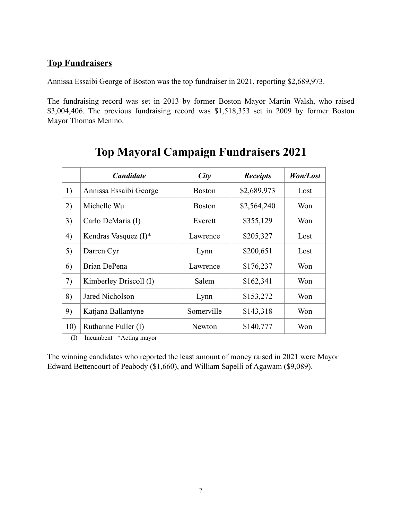#### **Top Fundraisers**

Annissa Essaibi George of Boston was the top fundraiser in 2021, reporting \$2,689,973.

The fundraising record was set in 2013 by former Boston Mayor Martin Walsh, who raised \$3,004,406. The previous fundraising record was \$1,518,353 set in 2009 by former Boston Mayor Thomas Menino.

|     | <b>Candidate</b>        | City          | <b>Receipts</b> | Won/Lost |
|-----|-------------------------|---------------|-----------------|----------|
| 1)  | Annissa Essaibi George  | <b>Boston</b> | \$2,689,973     | Lost     |
| 2)  | Michelle Wu             | <b>Boston</b> | \$2,564,240     | Won      |
| 3)  | Carlo DeMaria (I)       | Everett       | \$355,129       | Won      |
| 4)  | Kendras Vasquez $(I)^*$ | Lawrence      | \$205,327       | Lost     |
| 5)  | Darren Cyr              | Lynn          | \$200,651       | Lost     |
| 6)  | Brian DePena            | Lawrence      | \$176,237       | Won      |
| 7)  | Kimberley Driscoll (I)  | Salem         | \$162,341       | Won      |
| 8)  | Jared Nicholson         | Lynn          | \$153,272       | Won      |
| 9)  | Katjana Ballantyne      | Somerville    | \$143,318       | Won      |
| 10) | Ruthanne Fuller (I)     | Newton        | \$140,777       | Won      |

## **Top Mayoral Campaign Fundraisers 2021**

 $(I)$  = Incumbent \*Acting mayor

The winning candidates who reported the least amount of money raised in 2021 were Mayor Edward Bettencourt of Peabody (\$1,660), and William Sapelli of Agawam (\$9,089).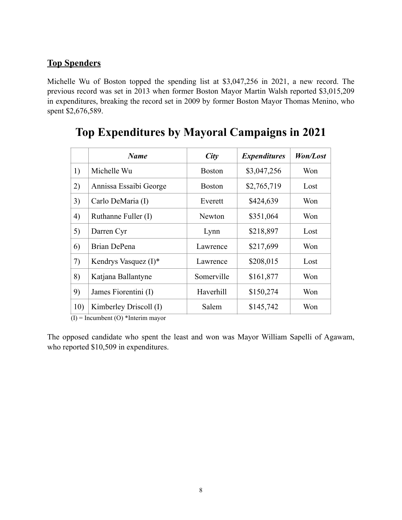#### **Top Spenders**

Michelle Wu of Boston topped the spending list at \$3,047,256 in 2021, a new record. The previous record was set in 2013 when former Boston Mayor Martin Walsh reported \$3,015,209 in expenditures, breaking the record set in 2009 by former Boston Mayor Thomas Menino, who spent \$2,676,589.

|     | <b>Name</b>             | City          | <b>Expenditures</b> | Won/Lost |
|-----|-------------------------|---------------|---------------------|----------|
| 1)  | Michelle Wu             | <b>Boston</b> | \$3,047,256         | Won      |
| 2)  | Annissa Essaibi George  | <b>Boston</b> | \$2,765,719         | Lost     |
| 3)  | Carlo DeMaria (I)       | Everett       | \$424,639           | Won      |
| 4)  | Ruthanne Fuller (I)     | Newton        | \$351,064           | Won      |
| 5)  | Darren Cyr              | Lynn          | \$218,897           | Lost     |
| 6)  | Brian DePena            | Lawrence      | \$217,699           | Won      |
| 7)  | Kendrys Vasquez $(I)^*$ | Lawrence      | \$208,015           | Lost     |
| 8)  | Katjana Ballantyne      | Somerville    | \$161,877           | Won      |
| 9)  | James Fiorentini (I)    | Haverhill     | \$150,274           | Won      |
| 10) | Kimberley Driscoll (I)  | Salem         | \$145,742           | Won      |

## **Top Expenditures by Mayoral Campaigns in 2021**

 $(I)$  = Incumbent (O) \*Interim mayor

The opposed candidate who spent the least and won was Mayor William Sapelli of Agawam, who reported \$10,509 in expenditures.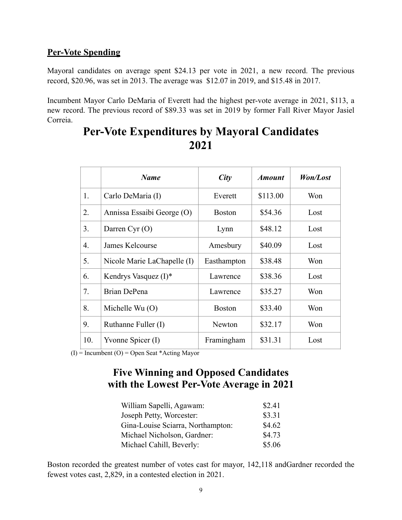#### **Per-Vote Spending**

Mayoral candidates on average spent \$24.13 per vote in 2021, a new record. The previous record, \$20.96, was set in 2013. The average was \$12.07 in 2019, and \$15.48 in 2017.

Incumbent Mayor Carlo DeMaria of Everett had the highest per-vote average in 2021, \$113, a new record. The previous record of \$89.33 was set in 2019 by former Fall River Mayor Jasiel Correia.

|     | <b>Name</b>                 | City          | <b>Amount</b> | Won/Lost |
|-----|-----------------------------|---------------|---------------|----------|
| 1.  | Carlo DeMaria (I)           | Everett       | \$113.00      | Won      |
| 2.  | Annissa Essaibi George (O)  | <b>Boston</b> | \$54.36       | Lost     |
| 3.  | Darren Cyr $(O)$            | Lynn          | \$48.12       | Lost     |
| 4.  | James Kelcourse             | Amesbury      | \$40.09       | Lost     |
| 5.  | Nicole Marie LaChapelle (I) | Easthampton   | \$38.48       | Won      |
| 6.  | Kendrys Vasquez $(I)^*$     | Lawrence      | \$38.36       | Lost     |
| 7.  | Brian DePena                | Lawrence      | \$35.27       | Won      |
| 8.  | Michelle Wu $(O)$           | <b>Boston</b> | \$33.40       | Won      |
| 9.  | Ruthanne Fuller (I)         | Newton        | \$32.17       | Won      |
| 10. | Yvonne Spicer (I)           | Framingham    | \$31.31       | Lost     |

## **Per-Vote Expenditures by Mayoral Candidates 2021**

(I) = Incumbent (O) = Open Seat \*Acting Mayor

### **Five Winning and Opposed Candidates with the Lowest Per-Vote Average in 2021**

| William Sapelli, Agawam:          | \$2.41 |
|-----------------------------------|--------|
| Joseph Petty, Worcester:          | \$3.31 |
| Gina-Louise Sciarra, Northampton: | \$4.62 |
| Michael Nicholson, Gardner:       | \$4.73 |
| Michael Cahill, Beverly:          | \$5.06 |

Boston recorded the greatest number of votes cast for mayor, 142,118 andGardner recorded the fewest votes cast, 2,829, in a contested election in 2021.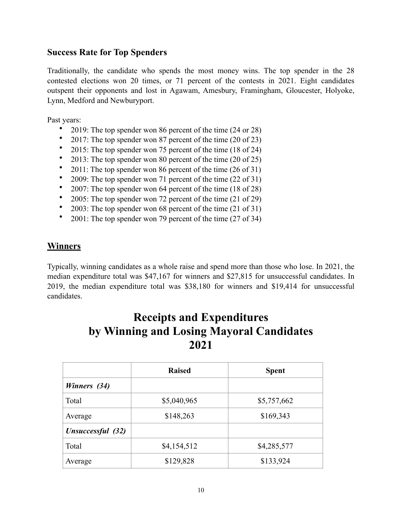#### **Success Rate for Top Spenders**

Traditionally, the candidate who spends the most money wins. The top spender in the 28 contested elections won 20 times, or 71 percent of the contests in 2021. Eight candidates outspent their opponents and lost in Agawam, Amesbury, Framingham, Gloucester, Holyoke, Lynn, Medford and Newburyport.

Past years:

- 2019: The top spender won 86 percent of the time (24 or 28)
- 2017: The top spender won 87 percent of the time (20 of 23)
- 2015: The top spender won 75 percent of the time (18 of 24)
- 2013: The top spender won 80 percent of the time (20 of 25)
- 2011: The top spender won 86 percent of the time (26 of 31)
- 2009: The top spender won 71 percent of the time (22 of 31)
- 2007: The top spender won 64 percent of the time (18 of 28)
- 2005: The top spender won 72 percent of the time (21 of 29)
- 2003: The top spender won 68 percent of the time (21 of 31)
- 2001: The top spender won 79 percent of the time (27 of 34)

#### **Winners**

Typically, winning candidates as a whole raise and spend more than those who lose. In 2021, the median expenditure total was \$47,167 for winners and \$27,815 for unsuccessful candidates. In 2019, the median expenditure total was \$38,180 for winners and \$19,414 for unsuccessful candidates.

## **Receipts and Expenditures by Winning and Losing Mayoral Candidates 2021**

|                   | <b>Raised</b> | <b>Spent</b> |
|-------------------|---------------|--------------|
| Winners (34)      |               |              |
| Total             | \$5,040,965   | \$5,757,662  |
| Average           | \$148,263     | \$169,343    |
| Unsuccessful (32) |               |              |
| Total             | \$4,154,512   | \$4,285,577  |
| Average           | \$129,828     | \$133,924    |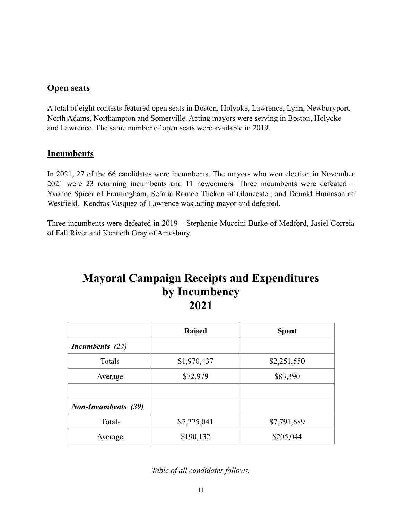#### **Open seats**

A total of eight contests featured open seats in Boston, Holyoke, Lawrence, Lynn, Newburyport, North Adams, Northampton and Somerville. Acting mayors were serving in Boston, Holyoke and Lawrence. The same number of open seats were available in 2019.

#### **Incumbents**

In 2021, 27 of the 66 candidates were incumbents. The mayors who won election in November 2021 were 23 returning incumbents and 11 newcomers. Three incumbents were defeated – Yvonne Spicer of Framingham, Sefatia Romeo Theken of Gloucester, and Donald Humason of Westfield. Kendras Vasquez of Lawrence was acting mayor and defeated.

Three incumbents were defeated in 2019 – Stephanie Muccini Burke of Medford, Jasiel Correia of Fall River and Kenneth Gray of Amesbury.

## **Mayoral Campaign Receipts and Expenditures by Incumbency 2021**

|                            | <b>Raised</b> | <b>Spent</b> |
|----------------------------|---------------|--------------|
| Incumbents (27)            |               |              |
| Totals                     | \$1,970,437   | \$2,251,550  |
| Average                    | \$72,979      | \$83,390     |
|                            |               |              |
| <b>Non-Incumbents</b> (39) |               |              |
| Totals                     | \$7,225,041   | \$7,791,689  |
| Average                    | \$190,132     | \$205,044    |

*Table of all candidates follows.*